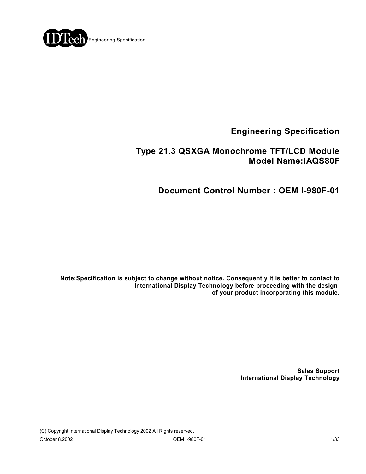

**Engineering Specification**

## **Type 21.3 QSXGA Monochrome TFT/LCD Module Model Name:IAQS80F**

**Document Control Number : OEM I-980F-01**

**Note:Specification is subject to change without notice. Consequently it is better to contact to International Display Technology before proceeding with the design of your product incorporating this module.**

> **Sales Support International Display Technology**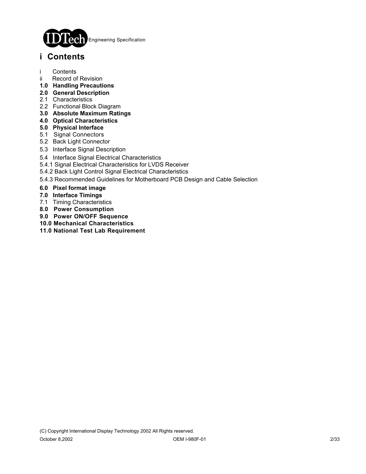

# **i Contents**

- i Contents
- ii Record of Revision
- **1.0 Handling Precautions**
- **2.0 General Description**
- 2.1 Characteristics
- 2.2 Functional Block Diagram
- **3.0 Absolute Maximum Ratings**
- **4.0 Optical Characteristics**
- **5.0 Physical Interface**
- 5.1 Signal Connectors
- 5.2 Back Light Connector
- 5.3 Interface Signal Description
- 5.4 Interface Signal Electrical Characteristics
- 5.4.1 Signal Electrical Characteristics for LVDS Receiver
- 5.4.2 Back Light Control Signal Electrical Characteristics
- 5.4.3 Recommended Guidelines for Motherboard PCB Design and Cable Selection
- **6.0 Pixel format image**
- **7.0 Interface Timings**
- 7.1 Timing Characteristics
- **8.0 Power Consumption**
- **9.0 Power ON/OFF Sequence**
- **10.0 Mechanical Characteristics**
- **11.0 National Test Lab Requirement**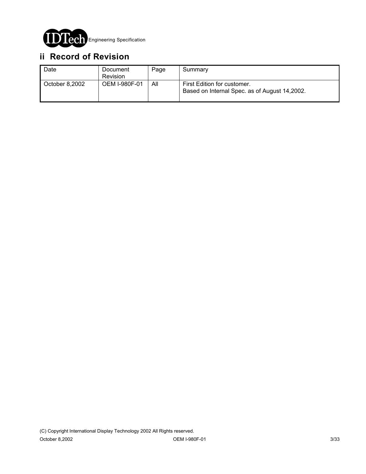

# **ii Record of Revision**

| Date           | Document<br>Revision | Page | Summary                                                                      |
|----------------|----------------------|------|------------------------------------------------------------------------------|
| October 8,2002 | <b>OEM I-980F-01</b> | All  | First Edition for customer.<br>Based on Internal Spec. as of August 14,2002. |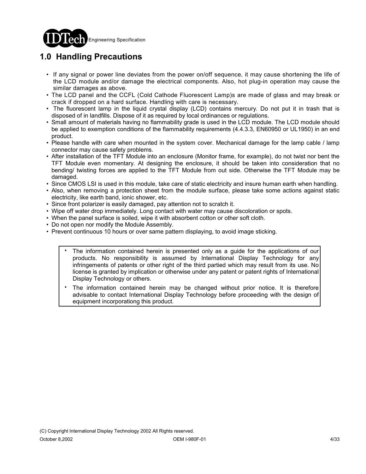

# **1.0 Handling Precautions**

- If any signal or power line deviates from the power on/off sequence, it may cause shortening the life of the LCD module and/or damage the electrical components. Also, hot plug-in operation may cause the similar damages as above.
- The LCD panel and the CCFL (Cold Cathode Fluorescent Lamp)s are made of glass and may break or crack if dropped on a hard surface. Handling with care is necessary.
- The fluorescent lamp in the liquid crystal display (LCD) contains mercury. Do not put it in trash that is disposed of in landfills. Dispose of it as required by local ordinances or regulations.
- Small amount of materials having no flammability grade is used in the LCD module. The LCD module should be applied to exemption conditions of the flammability requirements (4.4.3.3, EN60950 or UL1950) in an end product.
- Please handle with care when mounted in the system cover. Mechanical damage for the lamp cable / lamp connector may cause safety problems.
- After installation of the TFT Module into an enclosure (Monitor frame, for example), do not twist nor bent the TFT Module even momentary. At designing the enclosure, it should be taken into consideration that no bending/ twisting forces are applied to the TFT Module from out side. Otherwise the TFT Module may be damaged.
- Since CMOS LSI is used in this module, take care of static electricity and insure human earth when handling.
- Also, when removing a protection sheet from the module surface, please take some actions against static electricity, like earth band, ionic shower, etc.
- Since front polarizer is easily damaged, pay attention not to scratch it.
- Wipe off water drop immediately. Long contact with water may cause discoloration or spots.
- When the panel surface is soiled, wipe it with absorbent cotton or other soft cloth.
- Do not open nor modify the Module Assembly.
- Prevent continuous 10 hours or over same pattern displaying, to avoid image sticking.
	- The information contained herein is presented only as a guide for the applications of our products. No responsibility is assumed by International Display Technology for any infringements of patents or other right of the third partied which may result from its use. No license is granted by implication or otherwise under any patent or patent rights of International Display Technology or others. .
	- The information contained herein may be changed without prior notice. It is therefore advisable to contact International Display Technology before proceeding with the design of equipment incorporationg this product. .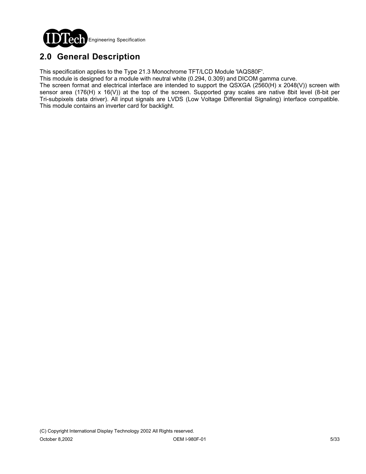

# **2.0 General Description**

This specification applies to the Type 21.3 Monochrome TFT/LCD Module 'IAQS80F'.

This module is designed for a module with neutral white (0.294, 0.309) and DICOM gamma curve.

The screen format and electrical interface are intended to support the QSXGA (2560(H) x 2048(V)) screen with sensor area (176(H) x 16(V)) at the top of the screen. Supported gray scales are native 8bit level (8-bit per Tri-subpixels data driver). All input signals are LVDS (Low Voltage Differential Signaling) interface compatible. This module contains an inverter card for backlight.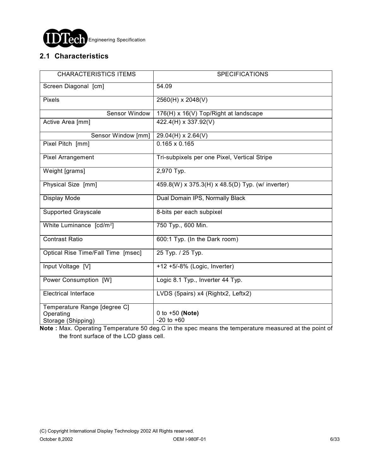

### **2.1 Characteristics**

| <b>CHARACTERISTICS ITEMS</b>         | <b>SPECIFICATIONS</b>                            |
|--------------------------------------|--------------------------------------------------|
| Screen Diagonal [cm]                 | 54.09                                            |
| <b>Pixels</b>                        | 2560(H) x 2048(V)                                |
| Sensor Window                        | 176(H) x 16(V) Top/Right at landscape            |
| Active Area [mm]                     | 422.4(H) x 337.92(V)                             |
| Sensor Window [mm]                   | 29.04(H) x 2.64(V)                               |
| Pixel Pitch [mm]                     | $0.165 \times 0.165$                             |
| <b>Pixel Arrangement</b>             | Tri-subpixels per one Pixel, Vertical Stripe     |
| Weight [grams]                       | 2,970 Typ.                                       |
| Physical Size [mm]                   | 459.8(W) x 375.3(H) x 48.5(D) Typ. (w/ inverter) |
| Display Mode                         | Dual Domain IPS, Normally Black                  |
| <b>Supported Grayscale</b>           | 8-bits per each subpixel                         |
| White Luminance [cd/m <sup>2</sup> ] | 750 Typ., 600 Min.                               |
| <b>Contrast Ratio</b>                | 600:1 Typ. (In the Dark room)                    |
| Optical Rise Time/Fall Time [msec]   | 25 Typ. / 25 Typ.                                |
| Input Voltage [V]                    | +12 +5/-8% (Logic, Inverter)                     |
| Power Consumption [W]                | Logic 8.1 Typ., Inverter 44 Typ.                 |
| <b>Electrical Interface</b>          | LVDS (5pairs) x4 (Rightx2, Leftx2)               |
| Temperature Range [degree C]         |                                                  |
| Operating                            | 0 to $+50$ (Note)                                |
| Storage (Shipping)                   | $-20$ to $+60$                                   |

**Note :** Max. Operating Temperature 50 deg.C in the spec means the temperature measured at the point of the front surface of the LCD glass cell.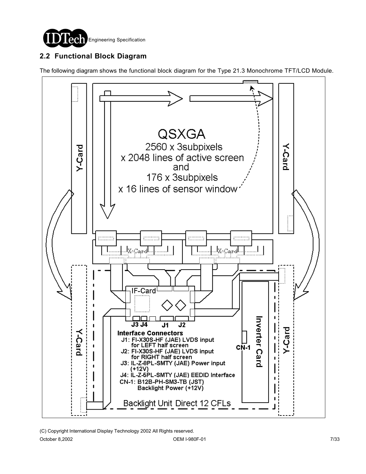

### **2.2 Functional Block Diagram**

The following diagram shows the functional block diagram for the Type 21.3 Monochrome TFT/LCD Module.

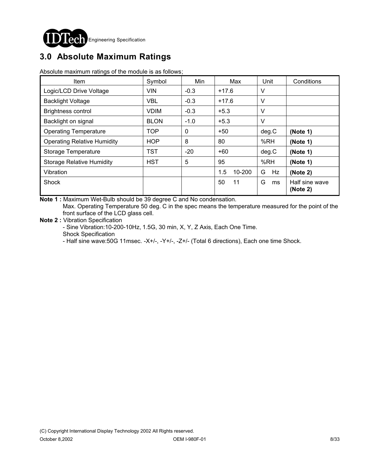

# **3.0 Absolute Maximum Ratings**

Absolute maximum ratings of the module is as follows;

| <b>Item</b>                        | Symbol      | Min         | Max           | Unit    | Conditions                 |
|------------------------------------|-------------|-------------|---------------|---------|----------------------------|
| Logic/LCD Drive Voltage            | VIN         | $-0.3$      | $+17.6$       | V       |                            |
| <b>Backlight Voltage</b>           | VBL.        | $-0.3$      | $+17.6$       | $\vee$  |                            |
| <b>Brightness control</b>          | <b>VDIM</b> | $-0.3$      | $+5.3$        | V       |                            |
| Backlight on signal                | <b>BLON</b> | $-1.0$      | $+5.3$        | V       |                            |
| <b>Operating Temperature</b>       | <b>TOP</b>  | $\mathbf 0$ | $+50$         | deg.C   | (Note 1)                   |
| <b>Operating Relative Humidity</b> | <b>HOP</b>  | 8           | 80            | %RH     | (Note 1)                   |
| Storage Temperature                | <b>TST</b>  | $-20$       | $+60$         | deg.C   | (Note 1)                   |
| <b>Storage Relative Humidity</b>   | <b>HST</b>  | 5           | 95            | %RH     | (Note 1)                   |
| Vibration                          |             |             | 1.5<br>10-200 | G<br>Hz | (Note 2)                   |
| Shock                              |             |             | 50<br>11      | G<br>ms | Half sine wave<br>(Note 2) |

**Note 1 :** Maximum Wet-Bulb should be 39 degree C and No condensation. Max. Operating Temperature 50 deg. C in the spec means the temperature measured for the point of the front surface of the LCD glass cell.

**Note 2 :** Vibration Specification

- Sine Vibration:10-200-10Hz, 1.5G, 30 min, X, Y, Z Axis, Each One Time.

Shock Specification

- Half sine wave:50G 11msec. -X+/-, -Y+/-, -Z+/- (Total 6 directions), Each one time Shock.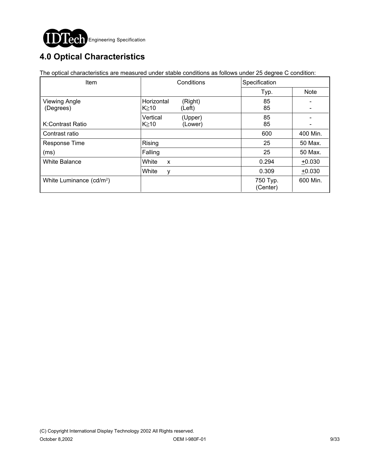

# **4.0 Optical Characteristics**

The optical characteristics are measured under stable conditions as follows under 25 degree C condition:

| Item                              | Conditions                                     | Specification        |             |
|-----------------------------------|------------------------------------------------|----------------------|-------------|
|                                   |                                                | Typ.                 | <b>Note</b> |
| <b>Viewing Angle</b><br>(Degrees) | Horizontal<br>(Right)<br>$K \geq 10$<br>(Left) | 85<br>85             |             |
| K:Contrast Ratio                  | Vertical<br>(Upper)<br>$K \geq 10$<br>(Lower)  | 85<br>85             |             |
| Contrast ratio                    |                                                | 600                  | 400 Min.    |
| Response Time                     | Rising                                         | 25                   | 50 Max.     |
| (ms)                              | Falling                                        | 25                   | 50 Max.     |
| <b>White Balance</b>              | White<br>X                                     | 0.294                | $+0.030$    |
|                                   | White<br>v                                     | 0.309                | $+0.030$    |
| White Luminance $(cd/m^2)$        |                                                | 750 Typ.<br>(Center) | 600 Min.    |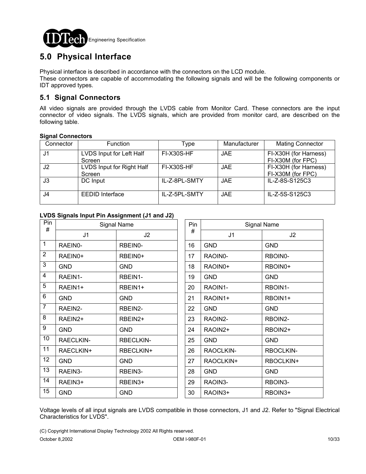

# **5.0 Physical Interface**

Physical interface is described in accordance with the connectors on the LCD module.

These connectors are capable of accommodating the following signals and will be the following components or IDT approved types.

### **5.1 Signal Connectors**

All video signals are provided through the LVDS cable from Monitor Card. These connectors are the input connector of video signals. The LVDS signals, which are provided from monitor card, are described on the following table.

#### **Signal Connectors**

| Connector      | <b>Function</b>                     | Type          | Manufacturer | <b>Mating Connector</b>                    |
|----------------|-------------------------------------|---------------|--------------|--------------------------------------------|
| .J1            | LVDS Input for Left Half<br>Screen  | FI-X30S-HF    | <b>JAE</b>   | FI-X30H (for Harness)<br>FI-X30M (for FPC) |
| J <sub>2</sub> | LVDS Input for Right Half<br>Screen | FI-X30S-HF    | <b>JAE</b>   | FI-X30H (for Harness)<br>FI-X30M (for FPC) |
| J3             | DC Input                            | IL-Z-8PL-SMTY | <b>JAE</b>   | IL-Z-8S-S125C3                             |
| J4             | <b>EEDID Interface</b>              | IL-Z-5PL-SMTY | <b>JAE</b>   | IL-Z-5S-S125C3                             |

### **LVDS Signals Input Pin Assignment (J1 and J2)**

| Pin<br>#       | Signal Name |                  | Pin |                | Signal Name |
|----------------|-------------|------------------|-----|----------------|-------------|
|                | J1          | J2               | #   | J <sub>1</sub> | J2          |
| $\mathbf{1}$   | RAEIN0-     | RBEIN0-          | 16  | <b>GND</b>     | <b>GND</b>  |
| $\overline{2}$ | RAEIN0+     | RBEIN0+          | 17  | RAOIN0-        | RBOIN0-     |
| 3              | <b>GND</b>  | <b>GND</b>       | 18  | RAOIN0+        | RBOIN0+     |
| 4              | RAEIN1-     | RBEIN1-          | 19  | <b>GND</b>     | <b>GND</b>  |
| 5              | RAEIN1+     | RBEIN1+          | 20  | RAOIN1-        | RBOIN1-     |
| 6              | <b>GND</b>  | <b>GND</b>       | 21  | RAOIN1+        | RBOIN1+     |
| $\overline{7}$ | RAEIN2-     | RBEIN2-          | 22  | <b>GND</b>     | <b>GND</b>  |
| 8              | RAEIN2+     | RBEIN2+          | 23  | RAOIN2-        | RBOIN2-     |
| 9              | <b>GND</b>  | <b>GND</b>       | 24  | RAOIN2+        | RBOIN2+     |
| 10             | RAECLKIN-   | <b>RBECLKIN-</b> | 25  | <b>GND</b>     | <b>GND</b>  |
| 11             | RAECLKIN+   | RBECLKIN+        | 26  | RAOCLKIN-      | RBOCLKIN-   |
| 12             | <b>GND</b>  | <b>GND</b>       | 27  | RAOCLKIN+      | RBOCLKIN+   |
| 13             | RAEIN3-     | RBEIN3-          | 28  | <b>GND</b>     | <b>GND</b>  |
| 14             | RAEIN3+     | RBEIN3+          | 29  | RAOIN3-        | RBOIN3-     |
| 15             | <b>GND</b>  | <b>GND</b>       | 30  | RAOIN3+        | RBOIN3+     |

Voltage levels of all input signals are LVDS compatible in those connectors, J1 and J2. Refer to "Signal Electrical Characteristics for LVDS".

(C) Copyright International Display Technology 2002 All Rights reserved.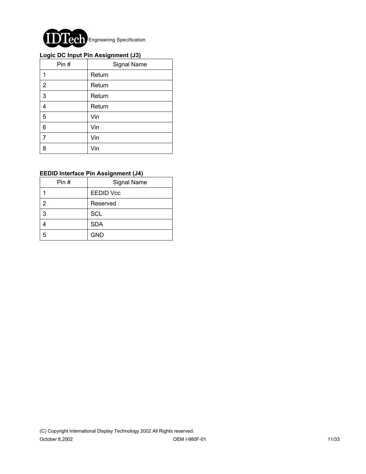

#### **Logic DC Input Pin Assignment (J3)**

| ־ ש־<br>p.<br>Pin# | - 30<br>$\sim$ $\sim$ $\sim$ $\prime$<br>Signal Name |
|--------------------|------------------------------------------------------|
|                    | Return                                               |
| $\overline{2}$     | Return                                               |
| 3                  | Return                                               |
| 4                  | Return                                               |
| 5                  | Vin                                                  |
| 6                  | Vin                                                  |
| $\overline{7}$     | Vin                                                  |
| 8                  | Vin                                                  |

### **EEDID Interface Pin Assignment (J4)**

| Pin# | <b>Signal Name</b> |
|------|--------------------|
|      | <b>EEDID Vcc</b>   |
| 2    | Reserved           |
| 3    | <b>SCL</b>         |
|      | <b>SDA</b>         |
| 5    | <b>GND</b>         |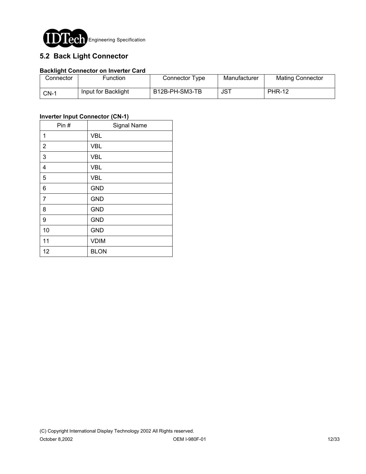

### **5.2 Back Light Connector**

### **Backlight Connector on Inverter Card**

| Connector | <b>Function</b>     | Connector Type | Manufacturer | <b>Mating Connector</b> |
|-----------|---------------------|----------------|--------------|-------------------------|
| CN-1      | Input for Backlight | B12B-PH-SM3-TB | JST          | <b>PHR-12</b>           |

### **Inverter Input Connector (CN-1)**

| Pin#                    | <b>Signal Name</b> |
|-------------------------|--------------------|
| 1                       | <b>VBL</b>         |
| $\overline{2}$          | <b>VBL</b>         |
| 3                       | <b>VBL</b>         |
| $\overline{\mathbf{4}}$ | <b>VBL</b>         |
| 5                       | <b>VBL</b>         |
| 6                       | <b>GND</b>         |
| $\overline{7}$          | <b>GND</b>         |
| 8                       | <b>GND</b>         |
| 9                       | <b>GND</b>         |
| 10                      | <b>GND</b>         |
| 11                      | <b>VDIM</b>        |
| 12                      | <b>BLON</b>        |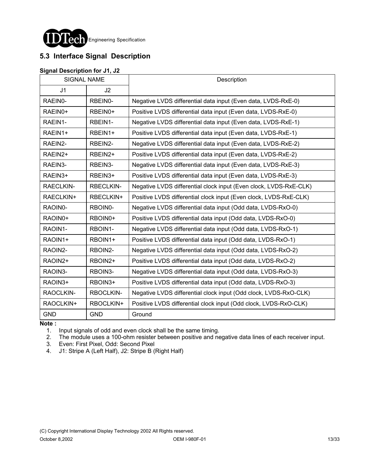

### **5.3 Interface Signal Description**

#### **Signal Description for J1, J2**

| <b>SIGNAL NAME</b> |                  | Description                                                       |
|--------------------|------------------|-------------------------------------------------------------------|
| J <sub>1</sub>     | J2               |                                                                   |
| RAEIN0-            | RBEIN0-          | Negative LVDS differential data input (Even data, LVDS-RxE-0)     |
| RAEIN0+            | RBEIN0+          | Positive LVDS differential data input (Even data, LVDS-RxE-0)     |
| RAEIN1-            | RBEIN1-          | Negative LVDS differential data input (Even data, LVDS-RxE-1)     |
| RAEIN1+            | RBEIN1+          | Positive LVDS differential data input (Even data, LVDS-RxE-1)     |
| RAEIN2-            | RBEIN2-          | Negative LVDS differential data input (Even data, LVDS-RxE-2)     |
| RAEIN2+            | RBEIN2+          | Positive LVDS differential data input (Even data, LVDS-RxE-2)     |
| RAEIN3-            | RBEIN3-          | Negative LVDS differential data input (Even data, LVDS-RxE-3)     |
| RAEIN3+            | RBEIN3+          | Positive LVDS differential data input (Even data, LVDS-RxE-3)     |
| RAECLKIN-          | <b>RBECLKIN-</b> | Negative LVDS differential clock input (Even clock, LVDS-RxE-CLK) |
| RAECLKIN+          | RBECLKIN+        | Positive LVDS differential clock input (Even clock, LVDS-RxE-CLK) |
| RAOIN0-            | RBOIN0-          | Negative LVDS differential data input (Odd data, LVDS-RxO-0)      |
| RAOIN0+            | RBOIN0+          | Positive LVDS differential data input (Odd data, LVDS-RxO-0)      |
| RAOIN1-            | RBOIN1-          | Negative LVDS differential data input (Odd data, LVDS-RxO-1)      |
| RAOIN1+            | RBOIN1+          | Positive LVDS differential data input (Odd data, LVDS-RxO-1)      |
| RAOIN2-            | RBOIN2-          | Negative LVDS differential data input (Odd data, LVDS-RxO-2)      |
| RAOIN2+            | RBOIN2+          | Positive LVDS differential data input (Odd data, LVDS-RxO-2)      |
| RAOIN3-            | RBOIN3-          | Negative LVDS differential data input (Odd data, LVDS-RxO-3)      |
| RAOIN3+            | RBOIN3+          | Positive LVDS differential data input (Odd data, LVDS-RxO-3)      |
| RAOCLKIN-          | RBOCLKIN-        | Negative LVDS differential clock input (Odd clock, LVDS-RxO-CLK)  |
| RAOCLKIN+          | RBOCLKIN+        | Positive LVDS differential clock input (Odd clock, LVDS-RxO-CLK)  |
| <b>GND</b>         | <b>GND</b>       | Ground                                                            |

**Note :** 

1. Input signals of odd and even clock shall be the same timing.

2. The module uses a 100-ohm resister between positive and negative data lines of each receiver input.

3. Even: First Pixel, Odd: Second Pixel

4. J1: Stripe A (Left Half), J2: Stripe B (Right Half)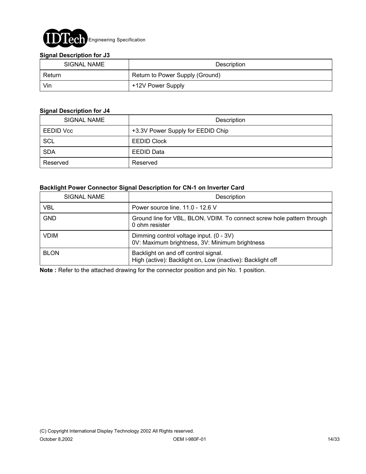

#### **Signal Description for J3**

| SIGNAL NAME | Description                     |
|-------------|---------------------------------|
| Return      | Return to Power Supply (Ground) |
| Vin         | +12V Power Supply               |

#### **Signal Description for J4**

| SIGNAL NAME | Description                       |  |  |  |  |
|-------------|-----------------------------------|--|--|--|--|
| EEDID Vcc   | +3.3V Power Supply for EEDID Chip |  |  |  |  |
| <b>SCL</b>  | <b>EEDID Clock</b>                |  |  |  |  |
| <b>SDA</b>  | EEDID Data                        |  |  |  |  |
| Reserved    | Reserved                          |  |  |  |  |

### **Backlight Power Connector Signal Description for CN-1 on Inverter Card**

| SIGNAL NAME | Description                                                                                        |
|-------------|----------------------------------------------------------------------------------------------------|
| VBL         | Power source line, 11.0 - 12.6 V                                                                   |
| <b>GND</b>  | Ground line for VBL, BLON, VDIM. To connect screw hole pattern through<br>0 ohm resister           |
| <b>VDIM</b> | Dimming control voltage input. (0 - 3V)<br>0V: Maximum brightness, 3V: Minimum brightness          |
| <b>BLON</b> | Backlight on and off control signal.<br>High (active): Backlight on, Low (inactive): Backlight off |

**Note :** Refer to the attached drawing for the connector position and pin No. 1 position.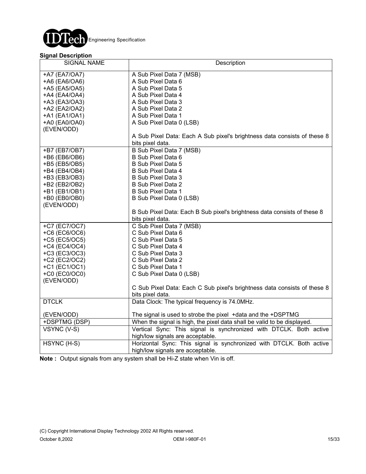

### **Signal Description**

| <b>SIGNAL NAME</b> | Description                                                              |
|--------------------|--------------------------------------------------------------------------|
| +A7 (EA7/OA7)      | A Sub Pixel Data 7 (MSB)                                                 |
| +A6 (EA6/OA6)      | A Sub Pixel Data 6                                                       |
| +A5 (EA5/OA5)      | A Sub Pixel Data 5                                                       |
| +A4 (EA4/OA4)      | A Sub Pixel Data 4                                                       |
| +A3 (EA3/OA3)      | A Sub Pixel Data 3                                                       |
| +A2 (EA2/OA2)      | A Sub Pixel Data 2                                                       |
| +A1 (EA1/OA1)      | A Sub Pixel Data 1                                                       |
| +A0 (EA0/OA0)      | A Sub Pixel Data 0 (LSB)                                                 |
| (EVEN/ODD)         |                                                                          |
|                    | A Sub Pixel Data: Each A Sub pixel's brightness data consists of these 8 |
|                    | bits pixel data.                                                         |
| +B7 (EB7/OB7)      | B Sub Pixel Data 7 (MSB)                                                 |
| +B6 (EB6/OB6)      | B Sub Pixel Data 6                                                       |
| +B5 (EB5/OB5)      | B Sub Pixel Data 5                                                       |
| +B4 (EB4/OB4)      | <b>B Sub Pixel Data 4</b>                                                |
| +B3 (EB3/OB3)      | B Sub Pixel Data 3                                                       |
| +B2 (EB2/OB2)      | <b>B Sub Pixel Data 2</b>                                                |
| +B1 (EB1/OB1)      | <b>B Sub Pixel Data 1</b>                                                |
| +B0 (EB0/OB0)      | B Sub Pixel Data 0 (LSB)                                                 |
| (EVEN/ODD)         |                                                                          |
|                    | B Sub Pixel Data: Each B Sub pixel's brightness data consists of these 8 |
|                    | bits pixel data.                                                         |
| +C7 (EC7/OC7)      | C Sub Pixel Data 7 (MSB)                                                 |
| +C6 (EC6/OC6)      | C Sub Pixel Data 6                                                       |
| +C5 (EC5/OC5)      | C Sub Pixel Data 5                                                       |
| +C4 (EC4/OC4)      | C Sub Pixel Data 4                                                       |
| +C3 (EC3/OC3)      | C Sub Pixel Data 3                                                       |
| +C2 (EC2/OC2)      | C Sub Pixel Data 2                                                       |
| +C1 (EC1/OC1)      | C Sub Pixel Data 1                                                       |
| +C0 (EC0/OC0)      | C Sub Pixel Data 0 (LSB)                                                 |
| (EVEN/ODD)         |                                                                          |
|                    | C Sub Pixel Data: Each C Sub pixel's brightness data consists of these 8 |
|                    | bits pixel data.                                                         |
| <b>DTCLK</b>       | Data Clock: The typical frequency is 74.0MHz.                            |
| (EVEN/ODD)         | The signal is used to strobe the pixel +data and the +DSPTMG             |
| +DSPTMG (DSP)      | When the signal is high, the pixel data shall be valid to be displayed.  |
| VSYNC (V-S)        | Vertical Sync: This signal is synchronized with DTCLK. Both active       |
|                    | high/low signals are acceptable.                                         |
| HSYNC (H-S)        | Horizontal Sync: This signal is synchronized with DTCLK. Both active     |
|                    | high/low signals are acceptable.                                         |

**Note :** Output signals from any system shall be Hi-Z state when Vin is off.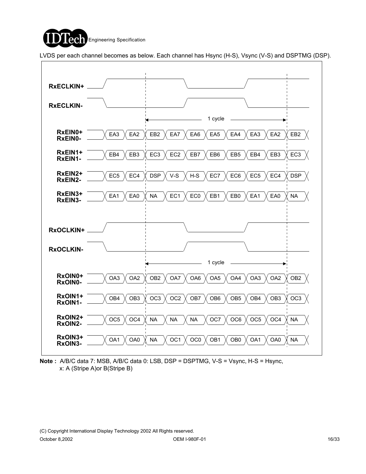

LVDS per each channel becomes as below. Each channel has Hsync (H-S), Vsync (V-S) and DSPTMG (DSP).



**Note :** A/B/C data 7: MSB, A/B/C data 0: LSB, DSP = DSPTMG, V-S = Vsync, H-S = Hsync, x: A (Stripe A)or B(Stripe B)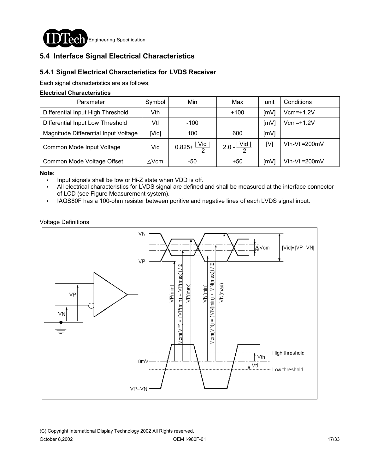

### **5.4 Interface Signal Electrical Characteristics**

### **5.4.1 Signal Electrical Characteristics for LVDS Receiver**

Each signal characteristics are as follows;

#### **Electrical Characteristics**

| Parameter                            | Symbol       | Min                              | Max                     | unit | Conditions    |
|--------------------------------------|--------------|----------------------------------|-------------------------|------|---------------|
| Differential Input High Threshold    | Vth          |                                  | $+100$                  | [mV] | $Vcm=+1.2V$   |
| Differential Input Low Threshold     | Vtl          | $-100$                           |                         | [mV] | $Vcm=+1.2V$   |
| Magnitude Differential Input Voltage | <b>IVidl</b> | 100                              | 600                     | [mV] |               |
| Common Mode Input Voltage            | Vic          | $0.825 + \frac{ \text{Vid} }{2}$ | 2.0 - $\frac{ Vid }{2}$ | [V]  | Vth-Vtl=200mV |
| Common Mode Voltage Offset           | $\wedge$ Vcm | -50                              | +50                     | [mV] | Vth-Vtl=200mV |

**Note:** 

- ! Input signals shall be low or Hi-Z state when VDD is off.
- ! All electrical characteristics for LVDS signal are defined and shall be measured at the interface connector of LCD (see Figure Measurement system).
- . IAQS80F has a 100-ohm resister between poritive and negative lines of each LVDS signal input.

### Voltage Definitions

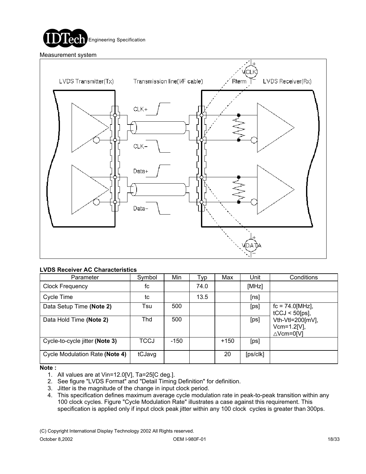

Measurement system



#### **LVDS Receiver AC Characteristics**

| Parameter                      | Symbol | Min    | Typ  | Max    | Unit                 | Conditions                                                  |
|--------------------------------|--------|--------|------|--------|----------------------|-------------------------------------------------------------|
| <b>Clock Frequency</b>         | fc     |        | 74.0 |        | [MHz]                |                                                             |
| Cycle Time                     | tc     |        | 13.5 |        | [ns]                 |                                                             |
| Data Setup Time (Note 2)       | Tsu    | 500    |      |        | [ps]                 | $fc = 74.0$ [MHz],<br>$tCCJ < 50$ [ps],                     |
| Data Hold Time (Note 2)        | Thd    | 500    |      |        | [ps]                 | Vth-Vtl=200[mV],<br>$Vcm = 1.2[V],$<br>$\triangle$ Vcm=0[V] |
| Cycle-to-cycle jitter (Note 3) | TCCJ   | $-150$ |      | $+150$ | [ps]                 |                                                             |
| Cycle Modulation Rate (Note 4) | tCJavg |        |      | 20     | [ps/c <sub>k</sub> ] |                                                             |

**Note :**

- 1. All values are at Vin=12.0[V], Ta=25[C deg.].
- 2. See figure "LVDS Format" and "Detail Timing Definition" for definition.
- 3. Jitter is the magnitude of the change in input clock period.
- 4. This specification defines maximum average cycle modulation rate in peak-to-peak transition within any 100 clock cycles. Figure "Cycle Modulation Rate" illustrates a case against this requirement. This specification is applied only if input clock peak jitter within any 100 clock cycles is greater than 300ps.

(C) Copyright International Display Technology 2002 All Rights reserved.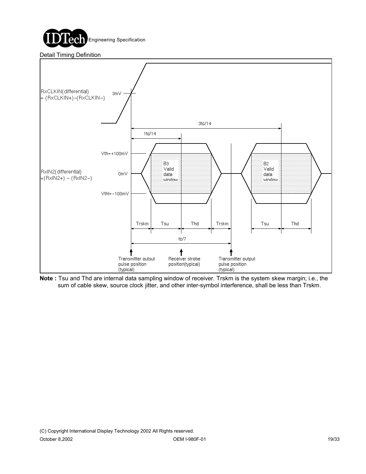

#### Detail Timing Definition



**Note :** Tsu and Thd are internal data sampling window of receiver. Trskm is the system skew margin; i.e., the sum of cable skew, source clock jitter, and other inter-symbol interference, shall be less than Trskm.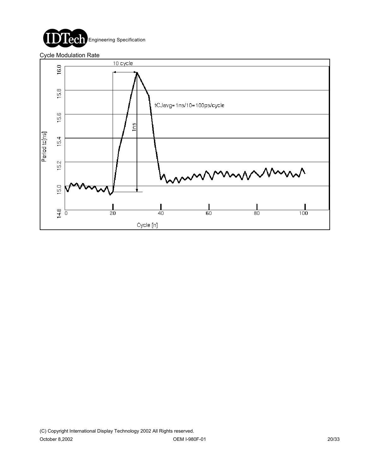

Cycle Modulation Rate

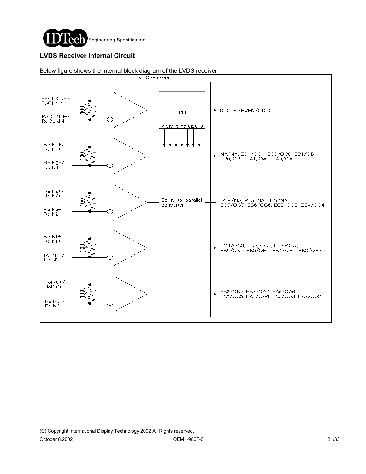

### **LVDS Receiver Internal Circuit**

#### Below figure shows the internal block diagram of the LVDS receiver.

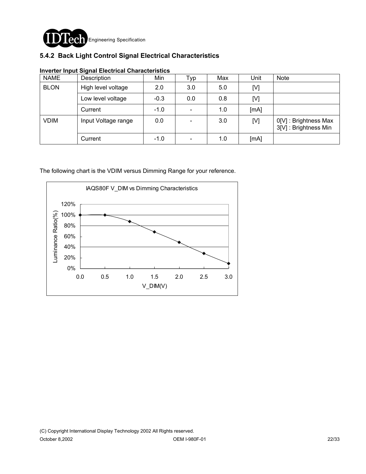

### **5.4.2 Back Light Control Signal Electrical Characteristics**

| <b>NAME</b> | Description         | Min    | Typ | Max | Unit | <b>Note</b>                                   |
|-------------|---------------------|--------|-----|-----|------|-----------------------------------------------|
| <b>BLON</b> | High level voltage  | 2.0    | 3.0 | 5.0 | [V]  |                                               |
|             | Low level voltage   | $-0.3$ | 0.0 | 0.8 | [V]  |                                               |
|             | Current             | $-1.0$ |     | 1.0 | [mA] |                                               |
| <b>VDIM</b> | Input Voltage range | 0.0    |     | 3.0 | [V]  | 0[V] : Brightness Max<br>3[V]: Brightness Min |
|             | Current             | $-1.0$ |     | 1.0 | [mA] |                                               |

### **Inverter Input Signal Electrical Characteristics**

### The following chart is the VDIM versus Dimming Range for your reference.

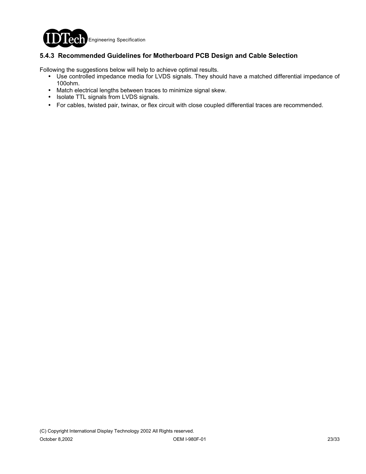

### **5.4.3 Recommended Guidelines for Motherboard PCB Design and Cable Selection**

Following the suggestions below will help to achieve optimal results.

- . Use controlled impedance media for LVDS signals. They should have a matched differential impedance of 100ohm.
- ! Match electrical lengths between traces to minimize signal skew.
- ! Isolate TTL signals from LVDS signals.
- ! For cables, twisted pair, twinax, or flex circuit with close coupled differential traces are recommended.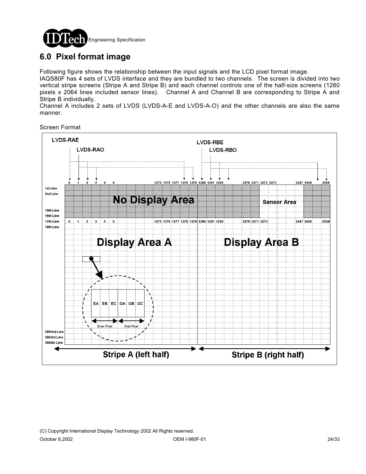

## **6.0 Pixel format image**

Following figure shows the relationship between the input signals and the LCD pixel format image.

IAQS80F has 4 sets of LVDS interface and they are bundled to two channels. The screen is divided into two vertical stripe screens (Stripe A and Stripe B) and each channel controls one of the half-size screens (1280 pixels x 2064 lines included sensor lines). Channel A and Channel B are corresponding to Stripe A and Stripe B individually.

Channel A includes 2 sets of LVDS (LVDS-A-E and LVDS-A-O) and the other channels are also the same manner.

Screen Format

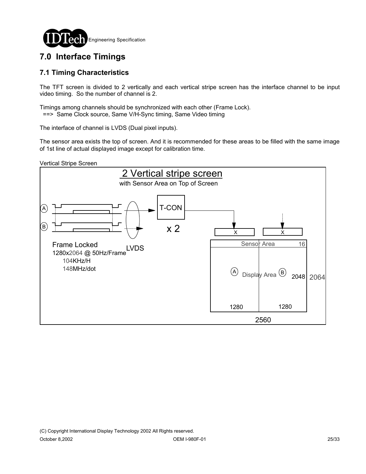

# **7.0 Interface Timings**

### **7.1 Timing Characteristics**

The TFT screen is divided to 2 vertically and each vertical stripe screen has the interface channel to be input video timing. So the number of channel is 2.

Timings among channels should be synchronized with each other (Frame Lock). ==> Same Clock source, Same V/H-Sync timing, Same Video timing

The interface of channel is LVDS (Dual pixel inputs).

The sensor area exists the top of screen. And it is recommended for these areas to be filled with the same image of 1st line of actual displayed image except for calibration time.

Vertical Stripe Screen

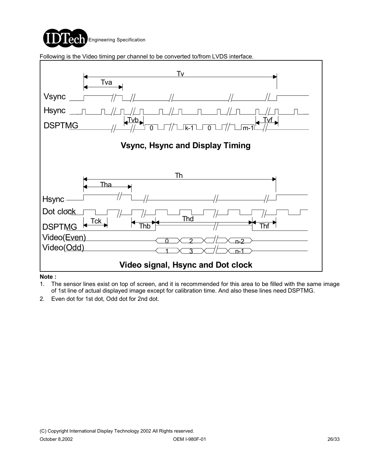

Following is the Video timing per channel to be converted to/from LVDS interface.



**Note :**

- 1. The sensor lines exist on top of screen, and it is recommended for this area to be filled with the same image of 1st line of actual displayed image except for calibration time. And also these lines need DSPTMG.
- 2. Even dot for 1st dot, Odd dot for 2nd dot.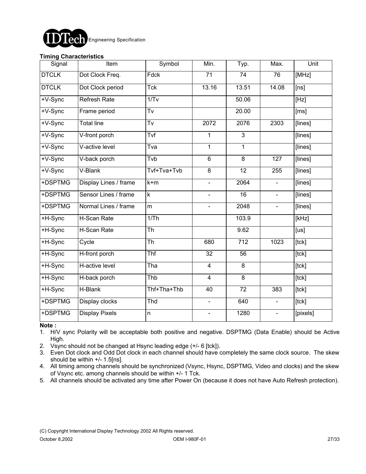

### **Timing Characteristics**

| Signal       | Item                  | Symbol                            | Min.            | Typ.             | Max.           | Unit               |
|--------------|-----------------------|-----------------------------------|-----------------|------------------|----------------|--------------------|
| <b>DTCLK</b> | Dot Clock Freq.       | Fdck                              | $\overline{71}$ | $\overline{74}$  | 76             | [MHz]              |
| <b>DTCLK</b> | Dot Clock period      | Tck                               | 13.16           | 13.51            | 14.08          | [ns]               |
| +V-Sync      | <b>Refresh Rate</b>   | 1/Tv                              |                 | 50.06            |                | [Hz]               |
| +V-Sync      | Frame period          | Tv                                |                 | 20.00            |                | [ms]               |
| +V-Sync      | <b>Total line</b>     | $\overline{\mathsf{T}\mathsf{v}}$ | 2072            | 2076             | 2303           | [lines]            |
| +V-Sync      | V-front porch         | Tvf                               | 1               | $\overline{3}$   |                | [lines]            |
| +V-Sync      | V-active level        | Tva                               | $\mathbf{1}$    | 1                |                | [lines]            |
| +V-Sync      | V-back porch          | Tvb                               | $\overline{6}$  | $\overline{8}$   | 127            | [lines]            |
| +V-Sync      | V-Blank               | Tvf+Tva+Tvb                       | $\overline{8}$  | 12               | 255            | [lines]            |
| +DSPTMG      | Display Lines / frame | k+m                               | $\blacksquare$  | 2064             | $\blacksquare$ | [lines]            |
| +DSPTMG      | Sensor Lines / frame  | $\mathsf k$                       | $\blacksquare$  | 16               | $\blacksquare$ | [lines]            |
| +DSPTMG      | Normal Lines / frame  | m                                 | $\blacksquare$  | 2048             | $\blacksquare$ | [lines]            |
| +H-Sync      | H-Scan Rate           | 1/Th                              |                 | 103.9            |                | [kHz]              |
| +H-Sync      | H-Scan Rate           | Th                                |                 | 9.62             |                | [us]               |
| +H-Sync      | Cycle                 | $\overline{\text{Th}}$            | 680             | $\overline{712}$ | 1023           | $\overline{[tck]}$ |
| +H-Sync      | H-front porch         | Thf                               | 32              | 56               |                | [tck]              |
| +H-Sync      | H-active level        | Tha                               | $\overline{4}$  | $\overline{8}$   |                | [tck]              |
| +H-Sync      | H-back porch          | Thb                               | $\overline{4}$  | $\overline{8}$   |                | [tck]              |
| +H-Sync      | H-Blank               | Thf+Tha+Thb                       | 40              | 72               | 383            | [tck]              |
| +DSPTMG      | Display clocks        | Thd                               | $\Delta$        | 640              | $\Box$         | [tck]              |
| +DSPTMG      | <b>Display Pixels</b> | n                                 | $\blacksquare$  | 1280             | $\blacksquare$ | [pixels]           |

**Note :**

1. H/V sync Polarity will be acceptable both positive and negative. DSPTMG (Data Enable) should be Active High.

2. Vsync should not be changed at Hsync leading edge (+/- 6 [tck]).

3. Even Dot clock and Odd Dot clock in each channel should have completely the same clock source. The skew should be within +/- 1.5[ns].

4. All timing among channels should be synchronized (Vsync, Hsync, DSPTMG, Video and clocks) and the skew of Vsync etc. among channels should be within +/- 1 Tck.

5. All channels should be activated any time after Power On (because it does not have Auto Refresh protection).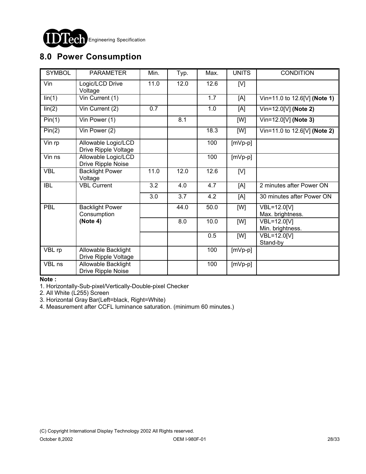

# **8.0 Power Consumption**

| <b>SYMBOL</b>        | <b>PARAMETER</b>                            | Min. | Typ. | Max.             | <b>UNITS</b> | <b>CONDITION</b>                |
|----------------------|---------------------------------------------|------|------|------------------|--------------|---------------------------------|
| Vin                  | Logic/LCD Drive<br>Voltage                  | 11.0 | 12.0 | 12.6             | [V]          |                                 |
| $\overline{lin(1)}$  | Vin Current (1)                             |      |      | $\overline{1.7}$ | [A]          | Vin=11.0 to 12.6[V] (Note 1)    |
| lin(2)               | $\overline{\text{V}}$ in Current (2)        | 0.7  |      | 1.0              | [A]          | Vin=12.0[V] (Note 2)            |
| Pin(1)               | Vin Power (1)                               |      | 8.1  |                  | [W]          | $V$ in=12.0[V] (Note 3)         |
| Pin(2)               | Vin Power (2)                               |      |      | 18.3             | [W]          | Vin=11.0 to 12.6[V] (Note 2)    |
| Vin rp               | Allowable Logic/LCD<br>Drive Ripple Voltage |      |      | 100              | $[mVp-p]$    |                                 |
| $\overline{V}$ in ns | Allowable Logic/LCD<br>Drive Ripple Noise   |      |      | 100              | $[mVp-p]$    |                                 |
| <b>VBL</b>           | <b>Backlight Power</b><br>Voltage           | 11.0 | 12.0 | 12.6             | [V]          |                                 |
| <b>IBL</b>           | <b>VBL Current</b>                          | 3.2  | 4.0  | 4.7              | [A]          | 2 minutes after Power ON        |
|                      |                                             | 3.0  | 3.7  | 4.2              | [A]          | 30 minutes after Power ON       |
| PBL                  | <b>Backlight Power</b><br>Consumption       |      | 44.0 | 50.0             | [W]          | VBL=12.0[V]<br>Max. brightness. |
|                      | (Note 4)                                    |      | 8.0  | 10.0             | [W]          | VBL=12.0[V]<br>Min. brightness. |
|                      |                                             |      |      | 0.5              | [W]          | VBL=12.0[V]<br>Stand-by         |
| VBL rp               | Allowable Backlight<br>Drive Ripple Voltage |      |      | 100              | $[mVp-p]$    |                                 |
| VBL ns               | Allowable Backlight<br>Drive Ripple Noise   |      |      | 100              | $[mVp-p]$    |                                 |

**Note :**

1. Horizontally-Sub-pixel/Vertically-Double-pixel Checker

2. All White (L255) Screen

3. Horizontal Gray Bar(Left=black, Right=White)

4. Measurement after CCFL luminance saturation. (minimum 60 minutes.)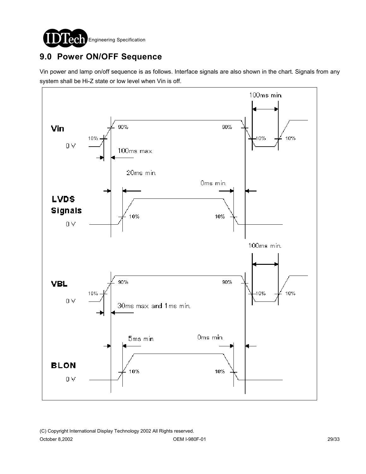

# **9.0 Power ON/OFF Sequence**

Vin power and lamp on/off sequence is as follows. Interface signals are also shown in the chart. Signals from any system shall be Hi-Z state or low level when Vin is off.

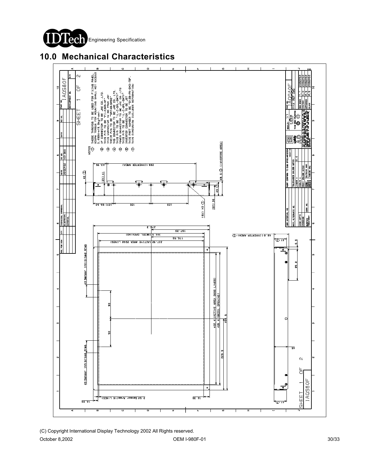



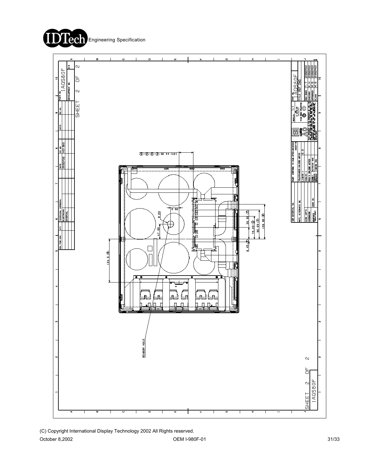

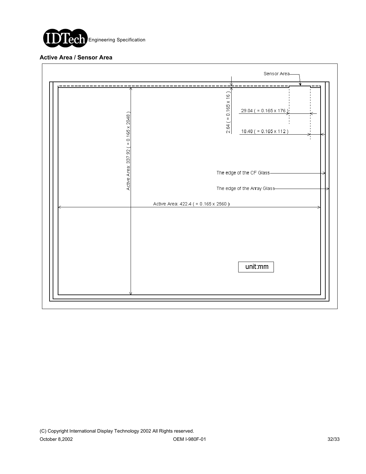

#### **Active Area / Sensor Area**

|                                        | Sensor Area-                                                                                                                                                        |
|----------------------------------------|---------------------------------------------------------------------------------------------------------------------------------------------------------------------|
| Active Area: 337.92 ( = 0.165 x 2048 ) | $= 0.165 \times 16$<br>$29.04$ ( = 0.165 x 176 $\chi$ )<br>2.64(<br>$18.48 (= 0.165 \times 112)$<br>٠.<br>The edge of the CF Glass-<br>The edge of the Array Glass- |
|                                        | Active Area: 422.4 ( = 0.165 x 2560)<br>unit:mm                                                                                                                     |